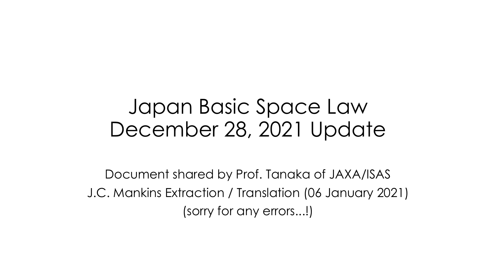## Japan Basic Space Law December 28, 2021 Update

Document shared by Prof. Tanaka of JAXA/ISAS J.C. Mankins Extraction / Translation (06 January 2021) (sorry for any errors...!)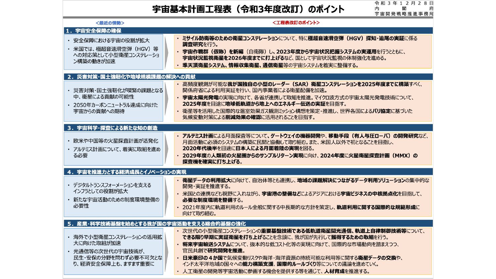## 宇宙基本計画工程表 (令和3年度改訂) のポイント

令和 3 年 1 2 月 2 8 日<br>内 閣 府 内 閣 <br>宇宙開発戦略推進事務局

| <最近の情勢>                                                                                                | <工程表改訂のポイント>                                                                                                                                                                                                                                                                                                                              |  |  |  |  |
|--------------------------------------------------------------------------------------------------------|-------------------------------------------------------------------------------------------------------------------------------------------------------------------------------------------------------------------------------------------------------------------------------------------------------------------------------------------|--|--|--|--|
| 1. 宇宙安全保障の確保                                                                                           |                                                                                                                                                                                                                                                                                                                                           |  |  |  |  |
| ・ 安全保障における宇宙の役割が拡大<br>· 米国では、極超音速滑空弾 (HGV) 等<br>への対応策として小型衛星コンステレーショ<br>ン構築の動きが加速                      | ・ ミサイル防衛等のための衛星コンステレーションについて、特に極超音速滑空弾 (HGV) 探知・追尾の実証に係る<br>調査研究を行う。<br>・ 宇宙作戦群(仮称)を新編(自衛隊)し、2023年度から宇宙状況把握システムの実運用を行うとともに、<br>宇宙状況監視衛星を2026年度までに打上げるなど、国として宇宙状況監視の体制強化を進める。<br>・ 準天頂衛星システム、情報収集衛星、通信衛星等の宇宙システムを着実に整備する。                                                                                                                  |  |  |  |  |
| 2. 災害対策・国土強靭化や地球規模課題の解決への貢献                                                                            |                                                                                                                                                                                                                                                                                                                                           |  |  |  |  |
| ・ 災害対策・国土強靭化が喫緊の課題となる<br>中、衛星による貢献の可能性<br>・ 2050年カーボンニュートラル達成に向けた<br>宇宙からの貢献への期待                       | ・ 高頻度観測が可能な <b>我が国独自の小型のレーダー (SAR) 衛星コンステレーションを2025年度までに構築</b> すべく、<br>関係府省による利用実証を行い、国内事業者による衛星配備を加速。<br>・ <b>宇宙太陽光発電</b> の実現に向けて、各省が連携して取組を推進。マイクロ波方式の宇宙太陽光発電技術について、<br>2025年度を目途に地球低軌道から地上へのエネルギー伝送の実証を目指す。<br>・ 衛星等を活用した国際的な温室効果ガス観測ミッション構想を策定・推進し、世界各国による <b>パリ協定</b> に基づいた<br>気候変動対策による削減効果の確認に活用されることを目指す。                         |  |  |  |  |
| 3. 宇宙科学・探査による新たな知の創造                                                                                   |                                                                                                                                                                                                                                                                                                                                           |  |  |  |  |
| ・ 欧米や中国等の火星探査計画が活発化<br>• アルテミス計画について、着実に取組を進め<br>る必要                                                   | ・ アルテミス計画による月面探査等について、ゲートウェイの機器開発や、移動手段(有人与圧ローバ)の開発研究など、<br>月面活動に必須のシステムの構築に民間と協働して取り組む。また、米国人以外で初となることを目指し、<br>2020年代後半を目途に日本人による月面着陸の実現を図る。<br>· 2029年度の人類初の火星圏からのサンプルリターン実現に向け、2024年度に火星衛星探査計画 (MMX) の<br>探査機を確実に打ち上げる。                                                                                                                |  |  |  |  |
|                                                                                                        | 4. 宇宙を推進力とする経済成長とイノベーションの実現                                                                                                                                                                                                                                                                                                               |  |  |  |  |
| ・ デジタルトランスフォーメーションを支える<br>インフラとしての役割が拡大<br>• 新たな宇宙活動のための制度環境整備の<br>必要性                                 | ・ 衛星データの利用拡大に向けて、自治体等とも連携し、地域の課題解決につながるデータ利用ソリューションの集中的な<br>開発・実証を推進する。<br>・ 米国との連携なども視野に入れながら、 <b>宇宙港の整備など</b> によるアジアにおける <b>宇宙ビジネスの中核拠点化</b> を目指して、<br>必要な制度環境を整備する。<br>• 2021年度内に軌道利用のルール全般に関する中長期的な方針を策定し、軌 <b>道利用に関する国際的な規範形成</b> に<br>向けて取り組む。                                                                                      |  |  |  |  |
|                                                                                                        | 5. 産業・科学技術基盤を始めとする我が国の宇宙活動を支える総合的基盤の強化                                                                                                                                                                                                                                                                                                    |  |  |  |  |
| • 海外で小型衛星コンステレーションの活用拡<br>大に向けた取組が加速<br>• 光通信等の次世代の宇宙技術が、<br>民生・安保の分野を問わず必要不可欠とな<br>り、経済安全保障上も、ますます重要に | · 次世代の小型衛星コンステレーションの重要基盤技術である低軌道衛星間光通信、軌道上自律制御技術等について、<br>できる限り早期に実証衛星を打ち上げることを念頭に、我が国が先行して獲得するための取組を行う。<br>・ 将来宇宙輸送システムについて、抜本的な低コスト化等の実現に向けて、国際的な市場動向を踏まえつつ、<br>官民共創で研究開発を推進。<br>日米豪印の4か国で気候変動リスクや海洋・海洋資源の持続可能な利用等に関する衛星データの交換や、<br>インド太平洋地域の国々への能力構築支援、国際的ルールづくり等についての議論を進めていく。<br>• 人工衛星の開発等宇宙活動に参画する機会を提供する等を通じて、 <b>人材育成</b> を推進する。 |  |  |  |  |